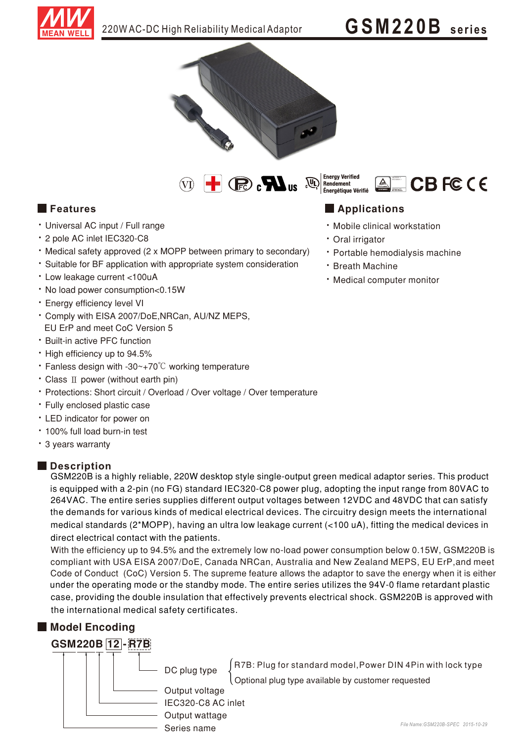

# GSM220B series



 $\omega$  +  $\odot$   $\odot$ டு



### $\blacksquare$  Features

- · Universal AC input / Full range
- \* 2 pole AC inlet IEC320-C8
- Medical safety approved (2 x MOPP between primary to secondary)
- · Suitable for BF application with appropriate system consideration
- \* Low leakage current <100uA
- . No load power consumption<0.15W
- · Energy efficiency level VI
- \* Comply with EISA 2007/DoE, NRCan, AU/NZ MEPS, EU ErP and meet CoC Version 5
- \* Built-in active PFC function
- High efficiency up to 94.5%
- Fanless design with -30 $\sim$ +70 $\degree$ C working temperature
- Class II power (without earth pin)
- Protections: Short circuit / Overload / Over voltage / Over temperature
- \* Fully enclosed plastic case
- LED indicator for power on
- \* 100% full load burn-in test
- 3 years warranty

#### **Description**

GSM220B is a highly reliable, 220W desktop style single-output green medical adaptor series. This product is equipped with a 2-pin (no FG) standard IEC320-C8 power plug, adopting the input range from 80VAC to 264VAC. The entire series supplies different output voltages between 12VDC and 48VDC that can satisfy the demands for various kinds of medical electrical devices. The circuitry design meets the international medical standards (2\*MOPP), having an ultra low leakage current (<100 uA), fitting the medical devices in direct electrical contact with the patients.

With the efficiency up to 94.5% and the extremely low no-load power consumption below 0.15W, GSM220B is compliant with USA EISA 2007/DoE, Canada NRCan, Australia and New Zealand MEPS, EU ErP, and meet Code of Conduct (CoC) Version 5. The supreme feature allows the adaptor to save the energy when it is either under the operating mode or the standby mode. The entire series utilizes the 94V-0 flame retardant plastic case, providing the double insulation that effectively prevents electrical shock. GSM220B is approved with the international medical safety certificates.

#### Model Encoding



### **Applications**

- · Mobile clinical workstation
- · Oral irrigator
- · Portable hemodialysis machine
- · Breath Machine
- · Medical computer monitor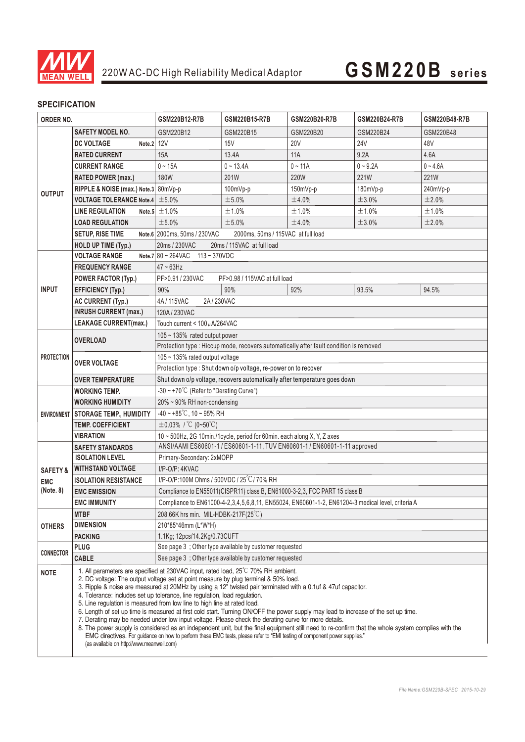

# **GSM220B seri es**

### **SPECIFICATION**

| ORDER NO.           |                                                                                                                                                                                                                                                                                                                                                                                                                                                                                                                                                                                                                                                                                                                                                                                                                                                                                                                                                                                                                                                 | GSM220B12-R7B                                                                                     | GSM220B15-R7B | GSM220B20-R7B | GSM220B24-R7B | GSM220B48-R7B |
|---------------------|-------------------------------------------------------------------------------------------------------------------------------------------------------------------------------------------------------------------------------------------------------------------------------------------------------------------------------------------------------------------------------------------------------------------------------------------------------------------------------------------------------------------------------------------------------------------------------------------------------------------------------------------------------------------------------------------------------------------------------------------------------------------------------------------------------------------------------------------------------------------------------------------------------------------------------------------------------------------------------------------------------------------------------------------------|---------------------------------------------------------------------------------------------------|---------------|---------------|---------------|---------------|
|                     | <b>SAFETY MODEL NO.</b>                                                                                                                                                                                                                                                                                                                                                                                                                                                                                                                                                                                                                                                                                                                                                                                                                                                                                                                                                                                                                         | GSM220B12                                                                                         | GSM220B15     | GSM220B20     | GSM220B24     | GSM220B48     |
| <b>OUTPUT</b>       | <b>DC VOLTAGE</b><br>Note.2                                                                                                                                                                                                                                                                                                                                                                                                                                                                                                                                                                                                                                                                                                                                                                                                                                                                                                                                                                                                                     | 12V                                                                                               | 15V           | <b>20V</b>    | <b>24V</b>    | 48V           |
|                     | <b>RATED CURRENT</b>                                                                                                                                                                                                                                                                                                                                                                                                                                                                                                                                                                                                                                                                                                                                                                                                                                                                                                                                                                                                                            | 15A                                                                                               | 13.4A         | 11A           | 9.2A          | 4.6A          |
|                     | <b>CURRENT RANGE</b>                                                                                                                                                                                                                                                                                                                                                                                                                                                                                                                                                                                                                                                                                                                                                                                                                                                                                                                                                                                                                            | $0 - 15A$                                                                                         | $0 - 13.4A$   | $0 - 11A$     | $0 - 9.2A$    | $0 - 4.6A$    |
|                     | <b>RATED POWER (max.)</b>                                                                                                                                                                                                                                                                                                                                                                                                                                                                                                                                                                                                                                                                                                                                                                                                                                                                                                                                                                                                                       | <b>180W</b>                                                                                       | 201W          | 220W          | <b>221W</b>   | 221W          |
|                     | RIPPLE & NOISE (max.) Note.3 80mVp-p                                                                                                                                                                                                                                                                                                                                                                                                                                                                                                                                                                                                                                                                                                                                                                                                                                                                                                                                                                                                            |                                                                                                   | $100mVp-p$    | 150mVp-p      | 180mVp-p      | 240mVp-p      |
|                     | <b>VOLTAGE TOLERANCE Note.4</b> $\pm$ 5.0%                                                                                                                                                                                                                                                                                                                                                                                                                                                                                                                                                                                                                                                                                                                                                                                                                                                                                                                                                                                                      |                                                                                                   | ±5.0%         | ±4.0%         | ±3.0%         | ±2.0%         |
|                     | <b>LINE REGULATION</b>                                                                                                                                                                                                                                                                                                                                                                                                                                                                                                                                                                                                                                                                                                                                                                                                                                                                                                                                                                                                                          | Note.5 $\pm$ 1.0%                                                                                 | ±1.0%         | ±1.0%         | ±1.0%         | ±1.0%         |
|                     | <b>LOAD REGULATION</b>                                                                                                                                                                                                                                                                                                                                                                                                                                                                                                                                                                                                                                                                                                                                                                                                                                                                                                                                                                                                                          | ±5.0%                                                                                             | ±5.0%         | ±4.0%         | ±3.0%         | ±2.0%         |
|                     | SETUP, RISE TIME                                                                                                                                                                                                                                                                                                                                                                                                                                                                                                                                                                                                                                                                                                                                                                                                                                                                                                                                                                                                                                | Note.6 2000ms, 50ms / 230VAC<br>2000ms, 50ms / 115VAC at full load                                |               |               |               |               |
|                     | <b>HOLD UP TIME (Typ.)</b>                                                                                                                                                                                                                                                                                                                                                                                                                                                                                                                                                                                                                                                                                                                                                                                                                                                                                                                                                                                                                      | 20ms / 115VAC at full load<br>20ms / 230VAC                                                       |               |               |               |               |
|                     | <b>VOLTAGE RANGE</b>                                                                                                                                                                                                                                                                                                                                                                                                                                                                                                                                                                                                                                                                                                                                                                                                                                                                                                                                                                                                                            | Note.7 $80 \sim 264$ VAC $113 \sim 370$ VDC                                                       |               |               |               |               |
| <b>INPUT</b>        | <b>FREQUENCY RANGE</b>                                                                                                                                                                                                                                                                                                                                                                                                                                                                                                                                                                                                                                                                                                                                                                                                                                                                                                                                                                                                                          | $47 - 63$ Hz                                                                                      |               |               |               |               |
|                     | <b>POWER FACTOR (Typ.)</b>                                                                                                                                                                                                                                                                                                                                                                                                                                                                                                                                                                                                                                                                                                                                                                                                                                                                                                                                                                                                                      | PF>0.91 / 230VAC<br>PF>0.98 / 115VAC at full load                                                 |               |               |               |               |
|                     | <b>EFFICIENCY (Typ.)</b>                                                                                                                                                                                                                                                                                                                                                                                                                                                                                                                                                                                                                                                                                                                                                                                                                                                                                                                                                                                                                        | 90%                                                                                               | 90%           | 92%           | 93.5%         | 94.5%         |
|                     | <b>AC CURRENT (Typ.)</b>                                                                                                                                                                                                                                                                                                                                                                                                                                                                                                                                                                                                                                                                                                                                                                                                                                                                                                                                                                                                                        | 4A/115VAC<br>2A / 230VAC                                                                          |               |               |               |               |
|                     | <b>INRUSH CURRENT (max.)</b>                                                                                                                                                                                                                                                                                                                                                                                                                                                                                                                                                                                                                                                                                                                                                                                                                                                                                                                                                                                                                    | 120A/230VAC                                                                                       |               |               |               |               |
|                     | <b>LEAKAGE CURRENT(max.)</b>                                                                                                                                                                                                                                                                                                                                                                                                                                                                                                                                                                                                                                                                                                                                                                                                                                                                                                                                                                                                                    | Touch current < 100 µ A/264VAC                                                                    |               |               |               |               |
| <b>PROTECTION</b>   | <b>OVERLOAD</b>                                                                                                                                                                                                                                                                                                                                                                                                                                                                                                                                                                                                                                                                                                                                                                                                                                                                                                                                                                                                                                 | 105 ~ 135% rated output power                                                                     |               |               |               |               |
|                     |                                                                                                                                                                                                                                                                                                                                                                                                                                                                                                                                                                                                                                                                                                                                                                                                                                                                                                                                                                                                                                                 | Protection type : Hiccup mode, recovers automatically after fault condition is removed            |               |               |               |               |
|                     | <b>OVER VOLTAGE</b>                                                                                                                                                                                                                                                                                                                                                                                                                                                                                                                                                                                                                                                                                                                                                                                                                                                                                                                                                                                                                             | 105 ~ 135% rated output voltage                                                                   |               |               |               |               |
|                     |                                                                                                                                                                                                                                                                                                                                                                                                                                                                                                                                                                                                                                                                                                                                                                                                                                                                                                                                                                                                                                                 | Protection type : Shut down o/p voltage, re-power on to recover                                   |               |               |               |               |
|                     | <b>OVER TEMPERATURE</b>                                                                                                                                                                                                                                                                                                                                                                                                                                                                                                                                                                                                                                                                                                                                                                                                                                                                                                                                                                                                                         | Shut down o/p voltage, recovers automatically after temperature goes down                         |               |               |               |               |
| <b>ENVIRONMENT</b>  | WORKING TEMP.                                                                                                                                                                                                                                                                                                                                                                                                                                                                                                                                                                                                                                                                                                                                                                                                                                                                                                                                                                                                                                   | -30 ~ +70°C (Refer to "Derating Curve")                                                           |               |               |               |               |
|                     | <b>WORKING HUMIDITY</b>                                                                                                                                                                                                                                                                                                                                                                                                                                                                                                                                                                                                                                                                                                                                                                                                                                                                                                                                                                                                                         | 20% ~ 90% RH non-condensing                                                                       |               |               |               |               |
|                     | <b>STORAGE TEMP., HUMIDITY</b>                                                                                                                                                                                                                                                                                                                                                                                                                                                                                                                                                                                                                                                                                                                                                                                                                                                                                                                                                                                                                  | $-40 \sim +85^{\circ}$ C, 10 ~ 95% RH                                                             |               |               |               |               |
|                     | <b>TEMP. COEFFICIENT</b>                                                                                                                                                                                                                                                                                                                                                                                                                                                                                                                                                                                                                                                                                                                                                                                                                                                                                                                                                                                                                        | $\pm$ 0.03% / °C (0~50°C)                                                                         |               |               |               |               |
|                     | <b>VIBRATION</b>                                                                                                                                                                                                                                                                                                                                                                                                                                                                                                                                                                                                                                                                                                                                                                                                                                                                                                                                                                                                                                | 10 ~ 500Hz, 2G 10min./1cycle, period for 60min. each along X, Y, Z axes                           |               |               |               |               |
|                     | <b>SAFETY STANDARDS</b>                                                                                                                                                                                                                                                                                                                                                                                                                                                                                                                                                                                                                                                                                                                                                                                                                                                                                                                                                                                                                         | ANSI/AAMI ES60601-1 / ES60601-1-11, TUV EN60601-1 / EN60601-1-11 approved                         |               |               |               |               |
| <b>SAFETY &amp;</b> | <b>ISOLATION LEVEL</b>                                                                                                                                                                                                                                                                                                                                                                                                                                                                                                                                                                                                                                                                                                                                                                                                                                                                                                                                                                                                                          | Primary-Secondary: 2xMOPP                                                                         |               |               |               |               |
|                     | <b>WITHSTAND VOLTAGE</b>                                                                                                                                                                                                                                                                                                                                                                                                                                                                                                                                                                                                                                                                                                                                                                                                                                                                                                                                                                                                                        | I/P-O/P: 4KVAC                                                                                    |               |               |               |               |
| <b>EMC</b>          | <b>ISOLATION RESISTANCE</b>                                                                                                                                                                                                                                                                                                                                                                                                                                                                                                                                                                                                                                                                                                                                                                                                                                                                                                                                                                                                                     | I/P-O/P:100M Ohms / 500VDC / 25°C / 70% RH                                                        |               |               |               |               |
| (Note. 8)           | <b>EMC EMISSION</b>                                                                                                                                                                                                                                                                                                                                                                                                                                                                                                                                                                                                                                                                                                                                                                                                                                                                                                                                                                                                                             | Compliance to EN55011(CISPR11) class B, EN61000-3-2,3, FCC PART 15 class B                        |               |               |               |               |
|                     | <b>EMC IMMUNITY</b>                                                                                                                                                                                                                                                                                                                                                                                                                                                                                                                                                                                                                                                                                                                                                                                                                                                                                                                                                                                                                             | Compliance to EN61000-4-2,3,4,5,6,8,11, EN55024, EN60601-1-2, EN61204-3 medical level, criteria A |               |               |               |               |
|                     | <b>MTBF</b>                                                                                                                                                                                                                                                                                                                                                                                                                                                                                                                                                                                                                                                                                                                                                                                                                                                                                                                                                                                                                                     | 208.66K hrs min. MIL-HDBK-217F(25°C)                                                              |               |               |               |               |
| <b>OTHERS</b>       | <b>DIMENSION</b>                                                                                                                                                                                                                                                                                                                                                                                                                                                                                                                                                                                                                                                                                                                                                                                                                                                                                                                                                                                                                                | 210*85*46mm (L*W*H)                                                                               |               |               |               |               |
|                     | <b>PACKING</b>                                                                                                                                                                                                                                                                                                                                                                                                                                                                                                                                                                                                                                                                                                                                                                                                                                                                                                                                                                                                                                  | 1.1Kg; 12pcs/14.2Kg/0.73CUFT                                                                      |               |               |               |               |
| <b>CONNECTOR</b>    | <b>PLUG</b>                                                                                                                                                                                                                                                                                                                                                                                                                                                                                                                                                                                                                                                                                                                                                                                                                                                                                                                                                                                                                                     | See page 3 ; Other type available by customer requested                                           |               |               |               |               |
|                     | <b>CABLE</b>                                                                                                                                                                                                                                                                                                                                                                                                                                                                                                                                                                                                                                                                                                                                                                                                                                                                                                                                                                                                                                    | See page 3; Other type available by customer requested                                            |               |               |               |               |
| <b>NOTE</b>         | 1. All parameters are specified at 230VAC input, rated load, 25 <sup>°</sup> C 70% RH ambient.<br>2. DC voltage: The output voltage set at point measure by plug terminal & 50% load.<br>3. Ripple & noise are measured at 20MHz by using a 12" twisted pair terminated with a 0.1uf & 47uf capacitor.<br>4. Tolerance: includes set up tolerance, line regulation, load regulation.<br>5. Line regulation is measured from low line to high line at rated load.<br>6. Length of set up time is measured at first cold start. Turning ON/OFF the power supply may lead to increase of the set up time.<br>7. Derating may be needed under low input voltage. Please check the derating curve for more details.<br>8. The power supply is considered as an independent unit, but the final equipment still need to re-confirm that the whole system complies with the<br>EMC directives. For guidance on how to perform these EMC tests, please refer to "EMI testing of component power supplies."<br>(as available on http://www.meanwell.com) |                                                                                                   |               |               |               |               |